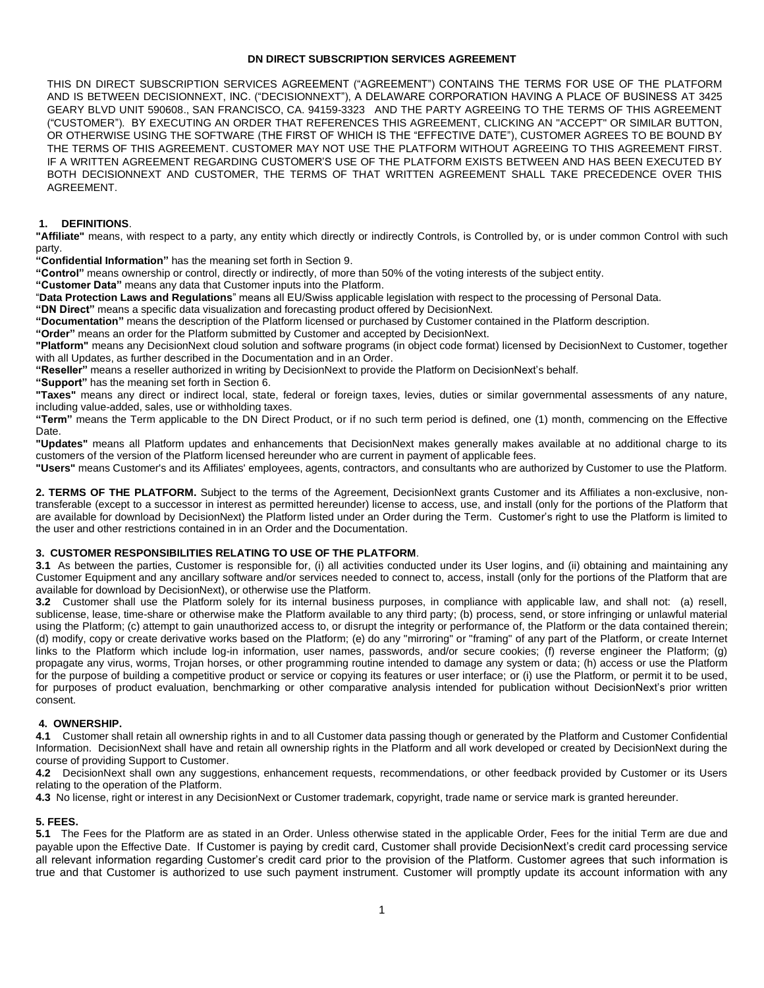#### **DN DIRECT SUBSCRIPTION SERVICES AGREEMENT**

THIS DN DIRECT SUBSCRIPTION SERVICES AGREEMENT ("AGREEMENT") CONTAINS THE TERMS FOR USE OF THE PLATFORM AND IS BETWEEN DECISIONNEXT, INC. ("DECISIONNEXT"), A DELAWARE CORPORATION HAVING A PLACE OF BUSINESS AT 3425 GEARY BLVD UNIT 590608., SAN FRANCISCO, CA. 94159-3323 AND THE PARTY AGREEING TO THE TERMS OF THIS AGREEMENT ("CUSTOMER"). BY EXECUTING AN ORDER THAT REFERENCES THIS AGREEMENT, CLICKING AN "ACCEPT" OR SIMILAR BUTTON, OR OTHERWISE USING THE SOFTWARE (THE FIRST OF WHICH IS THE "EFFECTIVE DATE"), CUSTOMER AGREES TO BE BOUND BY THE TERMS OF THIS AGREEMENT. CUSTOMER MAY NOT USE THE PLATFORM WITHOUT AGREEING TO THIS AGREEMENT FIRST. IF A WRITTEN AGREEMENT REGARDING CUSTOMER'S USE OF THE PLATFORM EXISTS BETWEEN AND HAS BEEN EXECUTED BY BOTH DECISIONNEXT AND CUSTOMER, THE TERMS OF THAT WRITTEN AGREEMENT SHALL TAKE PRECEDENCE OVER THIS AGREEMENT.

### **1. DEFINITIONS**.

**"Affiliate"** means, with respect to a party, any entity which directly or indirectly Controls, is Controlled by, or is under common Control with such party.

**"Confidential Information"** has the meaning set forth in Section 9.

**"Control"** means ownership or control, directly or indirectly, of more than 50% of the voting interests of the subject entity.

**"Customer Data"** means any data that Customer inputs into the Platform.

"**Data Protection Laws and Regulations**" means all EU/Swiss applicable legislation with respect to the processing of Personal Data.

**"DN Direct"** means a specific data visualization and forecasting product offered by DecisionNext.

**"Documentation"** means the description of the Platform licensed or purchased by Customer contained in the Platform description.

**"Order"** means an order for the Platform submitted by Customer and accepted by DecisionNext.

**"Platform"** means any DecisionNext cloud solution and software programs (in object code format) licensed by DecisionNext to Customer, together with all Updates, as further described in the Documentation and in an Order.

**"Reseller"** means a reseller authorized in writing by DecisionNext to provide the Platform on DecisionNext's behalf.

**"Support"** has the meaning set forth in Section 6.

**"Taxes"** means any direct or indirect local, state, federal or foreign taxes, levies, duties or similar governmental assessments of any nature, including value-added, sales, use or withholding taxes.

**"Term"** means the Term applicable to the DN Direct Product, or if no such term period is defined, one (1) month, commencing on the Effective Date.

**"Updates"** means all Platform updates and enhancements that DecisionNext makes generally makes available at no additional charge to its customers of the version of the Platform licensed hereunder who are current in payment of applicable fees.

**"Users"** means Customer's and its Affiliates' employees, agents, contractors, and consultants who are authorized by Customer to use the Platform.

2. TERMS OF THE PLATFORM. Subject to the terms of the Agreement, DecisionNext grants Customer and its Affiliates a non-exclusive, nontransferable (except to a successor in interest as permitted hereunder) license to access, use, and install (only for the portions of the Platform that are available for download by DecisionNext) the Platform listed under an Order during the Term. Customer's right to use the Platform is limited to the user and other restrictions contained in in an Order and the Documentation.

## **3. CUSTOMER RESPONSIBILITIES RELATING TO USE OF THE PLATFORM**.

**3.1** As between the parties, Customer is responsible for, (i) all activities conducted under its User logins, and (ii) obtaining and maintaining any Customer Equipment and any ancillary software and/or services needed to connect to, access, install (only for the portions of the Platform that are available for download by DecisionNext), or otherwise use the Platform.

**3.2** Customer shall use the Platform solely for its internal business purposes, in compliance with applicable law, and shall not: (a) resell, sublicense, lease, time-share or otherwise make the Platform available to any third party; (b) process, send, or store infringing or unlawful material using the Platform; (c) attempt to gain unauthorized access to, or disrupt the integrity or performance of, the Platform or the data contained therein; (d) modify, copy or create derivative works based on the Platform; (e) do any "mirroring" or "framing" of any part of the Platform, or create Internet links to the Platform which include log-in information, user names, passwords, and/or secure cookies; (f) reverse engineer the Platform; (g) propagate any virus, worms, Trojan horses, or other programming routine intended to damage any system or data; (h) access or use the Platform for the purpose of building a competitive product or service or copying its features or user interface; or (i) use the Platform, or permit it to be used, for purposes of product evaluation, benchmarking or other comparative analysis intended for publication without DecisionNext's prior written consent.

### **4. OWNERSHIP.**

**4.1** Customer shall retain all ownership rights in and to all Customer data passing though or generated by the Platform and Customer Confidential Information. DecisionNext shall have and retain all ownership rights in the Platform and all work developed or created by DecisionNext during the course of providing Support to Customer.

**4.2** DecisionNext shall own any suggestions, enhancement requests, recommendations, or other feedback provided by Customer or its Users relating to the operation of the Platform.

**4.3** No license, right or interest in any DecisionNext or Customer trademark, copyright, trade name or service mark is granted hereunder.

## **5. FEES.**

**5.1** The Fees for the Platform are as stated in an Order. Unless otherwise stated in the applicable Order, Fees for the initial Term are due and payable upon the Effective Date. If Customer is paying by credit card, Customer shall provide DecisionNext's credit card processing service all relevant information regarding Customer's credit card prior to the provision of the Platform. Customer agrees that such information is true and that Customer is authorized to use such payment instrument. Customer will promptly update its account information with any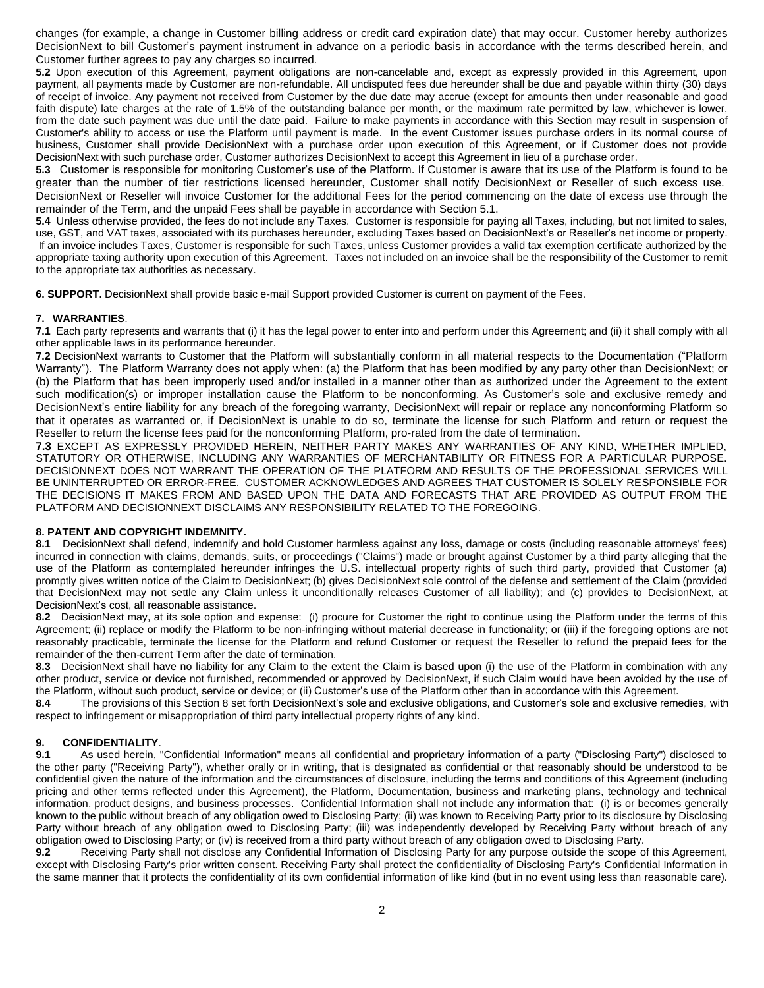changes (for example, a change in Customer billing address or credit card expiration date) that may occur. Customer hereby authorizes DecisionNext to bill Customer's payment instrument in advance on a periodic basis in accordance with the terms described herein, and Customer further agrees to pay any charges so incurred.

**5.2** Upon execution of this Agreement, payment obligations are non-cancelable and, except as expressly provided in this Agreement, upon payment, all payments made by Customer are non-refundable. All undisputed fees due hereunder shall be due and payable within thirty (30) days of receipt of invoice. Any payment not received from Customer by the due date may accrue (except for amounts then under reasonable and good faith dispute) late charges at the rate of 1.5% of the outstanding balance per month, or the maximum rate permitted by law, whichever is lower, from the date such payment was due until the date paid. Failure to make payments in accordance with this Section may result in suspension of Customer's ability to access or use the Platform until payment is made. In the event Customer issues purchase orders in its normal course of business, Customer shall provide DecisionNext with a purchase order upon execution of this Agreement, or if Customer does not provide DecisionNext with such purchase order, Customer authorizes DecisionNext to accept this Agreement in lieu of a purchase order.

**5.3** Customer is responsible for monitoring Customer's use of the Platform. If Customer is aware that its use of the Platform is found to be greater than the number of tier restrictions licensed hereunder, Customer shall notify DecisionNext or Reseller of such excess use. DecisionNext or Reseller will invoice Customer for the additional Fees for the period commencing on the date of excess use through the remainder of the Term, and the unpaid Fees shall be payable in accordance with Section 5.1.

**5.4** Unless otherwise provided, the fees do not include any Taxes. Customer is responsible for paying all Taxes, including, but not limited to sales, use, GST, and VAT taxes, associated with its purchases hereunder, excluding Taxes based on DecisionNext's or Reseller's net income or property. If an invoice includes Taxes, Customer is responsible for such Taxes, unless Customer provides a valid tax exemption certificate authorized by the appropriate taxing authority upon execution of this Agreement. Taxes not included on an invoice shall be the responsibility of the Customer to remit to the appropriate tax authorities as necessary.

**6. SUPPORT.** DecisionNext shall provide basic e-mail Support provided Customer is current on payment of the Fees.

# **7. WARRANTIES**.

**7.1** Each party represents and warrants that (i) it has the legal power to enter into and perform under this Agreement; and (ii) it shall comply with all other applicable laws in its performance hereunder.

**7.2** DecisionNext warrants to Customer that the Platform will substantially conform in all material respects to the Documentation ("Platform Warranty"). The Platform Warranty does not apply when: (a) the Platform that has been modified by any party other than DecisionNext; or (b) the Platform that has been improperly used and/or installed in a manner other than as authorized under the Agreement to the extent such modification(s) or improper installation cause the Platform to be nonconforming. As Customer's sole and exclusive remedy and DecisionNext's entire liability for any breach of the foregoing warranty, DecisionNext will repair or replace any nonconforming Platform so that it operates as warranted or, if DecisionNext is unable to do so, terminate the license for such Platform and return or request the Reseller to return the license fees paid for the nonconforming Platform, pro-rated from the date of termination.

**7.3** EXCEPT AS EXPRESSLY PROVIDED HEREIN, NEITHER PARTY MAKES ANY WARRANTIES OF ANY KIND, WHETHER IMPLIED, STATUTORY OR OTHERWISE, INCLUDING ANY WARRANTIES OF MERCHANTABILITY OR FITNESS FOR A PARTICULAR PURPOSE. DECISIONNEXT DOES NOT WARRANT THE OPERATION OF THE PLATFORM AND RESULTS OF THE PROFESSIONAL SERVICES WILL BE UNINTERRUPTED OR ERROR-FREE. CUSTOMER ACKNOWLEDGES AND AGREES THAT CUSTOMER IS SOLELY RESPONSIBLE FOR THE DECISIONS IT MAKES FROM AND BASED UPON THE DATA AND FORECASTS THAT ARE PROVIDED AS OUTPUT FROM THE PLATFORM AND DECISIONNEXT DISCLAIMS ANY RESPONSIBILITY RELATED TO THE FOREGOING.

## **8. PATENT AND COPYRIGHT INDEMNITY.**

**8.1** DecisionNext shall defend, indemnify and hold Customer harmless against any loss, damage or costs (including reasonable attorneys' fees) incurred in connection with claims, demands, suits, or proceedings ("Claims") made or brought against Customer by a third party alleging that the use of the Platform as contemplated hereunder infringes the U.S. intellectual property rights of such third party, provided that Customer (a) promptly gives written notice of the Claim to DecisionNext; (b) gives DecisionNext sole control of the defense and settlement of the Claim (provided that DecisionNext may not settle any Claim unless it unconditionally releases Customer of all liability); and (c) provides to DecisionNext, at DecisionNext's cost, all reasonable assistance.

**8.2** DecisionNext may, at its sole option and expense: (i) procure for Customer the right to continue using the Platform under the terms of this Agreement; (ii) replace or modify the Platform to be non-infringing without material decrease in functionality; or (iii) if the foregoing options are not reasonably practicable, terminate the license for the Platform and refund Customer or request the Reseller to refund the prepaid fees for the remainder of the then-current Term after the date of termination.

**8.3** DecisionNext shall have no liability for any Claim to the extent the Claim is based upon (i) the use of the Platform in combination with any other product, service or device not furnished, recommended or approved by DecisionNext, if such Claim would have been avoided by the use of the Platform, without such product, service or device; or (ii) Customer's use of the Platform other than in accordance with this Agreement.

**8.4** The provisions of this Section 8 set forth DecisionNext's sole and exclusive obligations, and Customer's sole and exclusive remedies, with respect to infringement or misappropriation of third party intellectual property rights of any kind.

## **9. CONFIDENTIALITY**.

**9.1** As used herein, "Confidential Information" means all confidential and proprietary information of a party ("Disclosing Party") disclosed to the other party ("Receiving Party"), whether orally or in writing, that is designated as confidential or that reasonably should be understood to be confidential given the nature of the information and the circumstances of disclosure, including the terms and conditions of this Agreement (including pricing and other terms reflected under this Agreement), the Platform, Documentation, business and marketing plans, technology and technical information, product designs, and business processes. Confidential Information shall not include any information that: (i) is or becomes generally known to the public without breach of any obligation owed to Disclosing Party; (ii) was known to Receiving Party prior to its disclosure by Disclosing Party without breach of any obligation owed to Disclosing Party; (iii) was independently developed by Receiving Party without breach of any obligation owed to Disclosing Party; or (iv) is received from a third party without breach of any obligation owed to Disclosing Party.

**9.2** Receiving Party shall not disclose any Confidential Information of Disclosing Party for any purpose outside the scope of this Agreement, except with Disclosing Party's prior written consent. Receiving Party shall protect the confidentiality of Disclosing Party's Confidential Information in the same manner that it protects the confidentiality of its own confidential information of like kind (but in no event using less than reasonable care).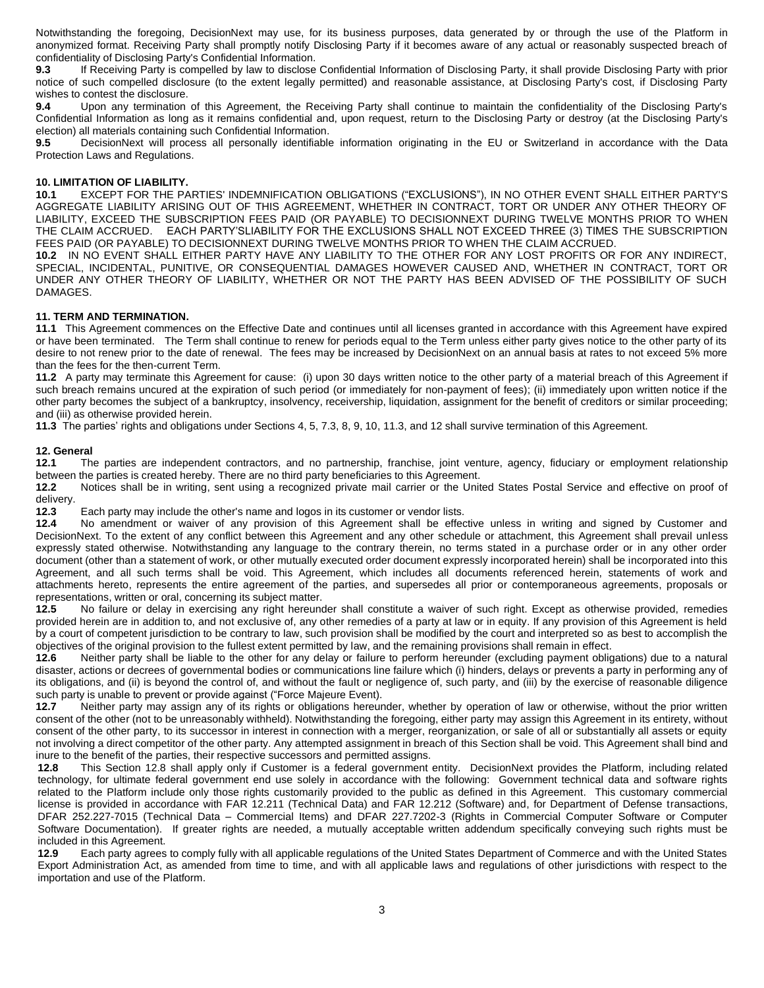Notwithstanding the foregoing, DecisionNext may use, for its business purposes, data generated by or through the use of the Platform in anonymized format. Receiving Party shall promptly notify Disclosing Party if it becomes aware of any actual or reasonably suspected breach of confidentiality of Disclosing Party's Confidential Information.

**9.3** If Receiving Party is compelled by law to disclose Confidential Information of Disclosing Party, it shall provide Disclosing Party with prior notice of such compelled disclosure (to the extent legally permitted) and reasonable assistance, at Disclosing Party's cost, if Disclosing Party wishes to contest the disclosure.

**9.4** Upon any termination of this Agreement, the Receiving Party shall continue to maintain the confidentiality of the Disclosing Party's Confidential Information as long as it remains confidential and, upon request, return to the Disclosing Party or destroy (at the Disclosing Party's election) all materials containing such Confidential Information.

**9.5** DecisionNext will process all personally identifiable information originating in the EU or Switzerland in accordance with the Data Protection Laws and Regulations.

#### **10. LIMITATION OF LIABILITY.**

**10.1** EXCEPT FOR THE PARTIES' INDEMNIFICATION OBLIGATIONS ("EXCLUSIONS"), IN NO OTHER EVENT SHALL EITHER PARTY'S AGGREGATE LIABILITY ARISING OUT OF THIS AGREEMENT, WHETHER IN CONTRACT, TORT OR UNDER ANY OTHER THEORY OF LIABILITY, EXCEED THE SUBSCRIPTION FEES PAID (OR PAYABLE) TO DECISIONNEXT DURING TWELVE MONTHS PRIOR TO WHEN THE CLAIM ACCRUED. EACH PARTY'SLIABILITY FOR THE EXCLUSIONS SHALL NOT EXCEED THREE (3) TIMES THE SUBSCRIPTION FEES PAID (OR PAYABLE) TO DECISIONNEXT DURING TWELVE MONTHS PRIOR TO WHEN THE CLAIM ACCRUED.

**10.2** IN NO EVENT SHALL EITHER PARTY HAVE ANY LIABILITY TO THE OTHER FOR ANY LOST PROFITS OR FOR ANY INDIRECT, SPECIAL, INCIDENTAL, PUNITIVE, OR CONSEQUENTIAL DAMAGES HOWEVER CAUSED AND, WHETHER IN CONTRACT, TORT OR UNDER ANY OTHER THEORY OF LIABILITY, WHETHER OR NOT THE PARTY HAS BEEN ADVISED OF THE POSSIBILITY OF SUCH DAMAGES.

#### **11. TERM AND TERMINATION.**

**11.1** This Agreement commences on the Effective Date and continues until all licenses granted in accordance with this Agreement have expired or have been terminated. The Term shall continue to renew for periods equal to the Term unless either party gives notice to the other party of its desire to not renew prior to the date of renewal. The fees may be increased by DecisionNext on an annual basis at rates to not exceed 5% more than the fees for the then-current Term.

**11.2** A party may terminate this Agreement for cause: (i) upon 30 days written notice to the other party of a material breach of this Agreement if such breach remains uncured at the expiration of such period (or immediately for non-payment of fees); (ii) immediately upon written notice if the other party becomes the subject of a bankruptcy, insolvency, receivership, liquidation, assignment for the benefit of creditors or similar proceeding; and (iii) as otherwise provided herein.

**11.3** The parties' rights and obligations under Sections 4, 5, 7.3, 8, 9, 10, 11.3, and 12 shall survive termination of this Agreement.

#### **12. General**

**12.1** The parties are independent contractors, and no partnership, franchise, joint venture, agency, fiduciary or employment relationship between the parties is created hereby. There are no third party beneficiaries to this Agreement.

**12.2** Notices shall be in writing, sent using a recognized private mail carrier or the United States Postal Service and effective on proof of delivery.

**12.3** Each party may include the other's name and logos in its customer or vendor lists.

**12.4** No amendment or waiver of any provision of this Agreement shall be effective unless in writing and signed by Customer and DecisionNext. To the extent of any conflict between this Agreement and any other schedule or attachment, this Agreement shall prevail unless expressly stated otherwise. Notwithstanding any language to the contrary therein, no terms stated in a purchase order or in any other order document (other than a statement of work, or other mutually executed order document expressly incorporated herein) shall be incorporated into this Agreement, and all such terms shall be void. This Agreement, which includes all documents referenced herein, statements of work and attachments hereto, represents the entire agreement of the parties, and supersedes all prior or contemporaneous agreements, proposals or representations, written or oral, concerning its subject matter.

**12.5** No failure or delay in exercising any right hereunder shall constitute a waiver of such right. Except as otherwise provided, remedies provided herein are in addition to, and not exclusive of, any other remedies of a party at law or in equity. If any provision of this Agreement is held by a court of competent jurisdiction to be contrary to law, such provision shall be modified by the court and interpreted so as best to accomplish the objectives of the original provision to the fullest extent permitted by law, and the remaining provisions shall remain in effect.

**12.6** Neither party shall be liable to the other for any delay or failure to perform hereunder (excluding payment obligations) due to a natural disaster, actions or decrees of governmental bodies or communications line failure which (i) hinders, delays or prevents a party in performing any of its obligations, and (ii) is beyond the control of, and without the fault or negligence of, such party, and (iii) by the exercise of reasonable diligence such party is unable to prevent or provide against ("Force Majeure Event).

**12.7** Neither party may assign any of its rights or obligations hereunder, whether by operation of law or otherwise, without the prior written consent of the other (not to be unreasonably withheld). Notwithstanding the foregoing, either party may assign this Agreement in its entirety, without consent of the other party, to its successor in interest in connection with a merger, reorganization, or sale of all or substantially all assets or equity not involving a direct competitor of the other party. Any attempted assignment in breach of this Section shall be void. This Agreement shall bind and inure to the benefit of the parties, their respective successors and permitted assigns.

**12.8** This Section 12.8 shall apply only if Customer is a federal government entity. DecisionNext provides the Platform, including related technology, for ultimate federal government end use solely in accordance with the following: Government technical data and software rights related to the Platform include only those rights customarily provided to the public as defined in this Agreement. This customary commercial license is provided in accordance with FAR 12.211 (Technical Data) and FAR 12.212 (Software) and, for Department of Defense transactions, DFAR 252.227-7015 (Technical Data – Commercial Items) and DFAR 227.7202-3 (Rights in Commercial Computer Software or Computer Software Documentation). If greater rights are needed, a mutually acceptable written addendum specifically conveying such rights must be included in this Agreement.

**12.9** Each party agrees to comply fully with all applicable regulations of the United States Department of Commerce and with the United States Export Administration Act, as amended from time to time, and with all applicable laws and regulations of other jurisdictions with respect to the importation and use of the Platform.